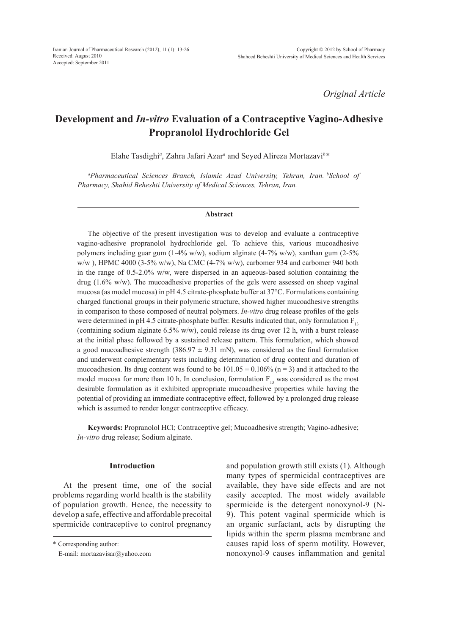*Original Article*

# **Development and** *In-vitro* **Evaluation of a Contraceptive Vagino-Adhesive Propranolol Hydrochloride Gel**

Elahe Tasdighi*<sup>a</sup>* , Zahra Jafari Azar*<sup>a</sup>* and Seyed Alireza Mortazavi*<sup>b</sup> \**

*a Pharmaceutical Sciences Branch, Islamic Azad University, Tehran, Iran. bSchool of Pharmacy, Shahid Beheshti University of Medical Sciences, Tehran, Iran.*

#### **Abstract**

The objective of the present investigation was to develop and evaluate a contraceptive vagino-adhesive propranolol hydrochloride gel. To achieve this, various mucoadhesive polymers including guar gum (1-4% w/w), sodium alginate (4-7% w/w), xanthan gum (2-5% w/w ), HPMC 4000 (3-5% w/w), Na CMC (4-7% w/w), carbomer 934 and carbomer 940 both in the range of 0.5-2.0% w/w, were dispersed in an aqueous-based solution containing the drug (1.6% w/w). The mucoadhesive properties of the gels were assessed on sheep vaginal mucosa (as model mucosa) in pH 4.5 citrate-phosphate buffer at 37°C. Formulations containing charged functional groups in their polymeric structure, showed higher mucoadhesive strengths in comparison to those composed of neutral polymers. *In-vitro* drug release profiles of the gels were determined in pH 4.5 citrate-phosphate buffer. Results indicated that, only formulation  $F_{13}$ (containing sodium alginate 6.5% w/w), could release its drug over 12 h, with a burst release at the initial phase followed by a sustained release pattern. This formulation, which showed a good mucoadhesive strength (386.97  $\pm$  9.31 mN), was considered as the final formulation and underwent complementary tests including determination of drug content and duration of mucoadhesion. Its drug content was found to be  $101.05 \pm 0.106\%$  (n = 3) and it attached to the model mucosa for more than 10 h. In conclusion, formulation  $F_{13}$  was considered as the most desirable formulation as it exhibited appropriate mucoadhesive properties while having the potential of providing an immediate contraceptive effect, followed by a prolonged drug release which is assumed to render longer contraceptive efficacy.

**Keywords:** Propranolol HCl; Contraceptive gel; Mucoadhesive strength; Vagino-adhesive; *In-vitro* drug release; Sodium alginate.

#### **Introduction**

At the present time, one of the social problems regarding world health is the stability of population growth. Hence, the necessity to develop a safe, effective and affordable precoital spermicide contraceptive to control pregnancy and population growth still exists (1). Although many types of spermicidal contraceptives are available, they have side effects and are not easily accepted. The most widely available spermicide is the detergent nonoxynol-9 (N-9). This potent vaginal spermicide which is an organic surfactant, acts by disrupting the lipids within the sperm plasma membrane and causes rapid loss of sperm motility. However, nonoxynol-9 causes inflammation and genital

<sup>\*</sup> Corresponding author:

E-mail: mortazavisar@yahoo.com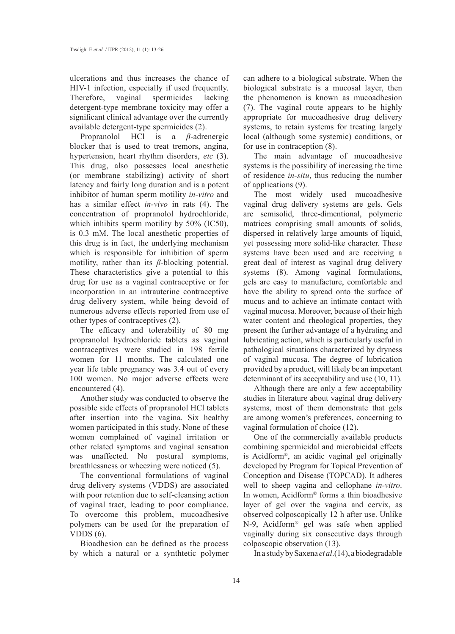ulcerations and thus increases the chance of HIV-1 infection, especially if used frequently. Therefore, vaginal spermicides lacking detergent-type membrane toxicity may offer a significant clinical advantage over the currently available detergent-type spermicides (2).

Propranolol HCl is a *β*-adrenergic blocker that is used to treat tremors, angina, hypertension, heart rhythm disorders, *etc* (3). This drug, also possesses local anesthetic (or membrane stabilizing) activity of short latency and fairly long duration and is a potent inhibitor of human sperm motility *in-vitro* and has a similar effect *in-vivo* in rats (4). The concentration of propranolol hydrochloride, which inhibits sperm motility by 50% (IC50), is 0.3 mM. The local anesthetic properties of this drug is in fact, the underlying mechanism which is responsible for inhibition of sperm motility, rather than its *β*-blocking potential. These characteristics give a potential to this drug for use as a vaginal contraceptive or for incorporation in an intrauterine contraceptive drug delivery system, while being devoid of numerous adverse effects reported from use of other types of contraceptives (2).

The efficacy and tolerability of 80 mg propranolol hydrochloride tablets as vaginal contraceptives were studied in 198 fertile women for 11 months. The calculated one year life table pregnancy was 3.4 out of every 100 women. No major adverse effects were encountered (4).

Another study was conducted to observe the possible side effects of propranolol HCl tablets after insertion into the vagina. Six healthy women participated in this study. None of these women complained of vaginal irritation or other related symptoms and vaginal sensation was unaffected. No postural symptoms, breathlessness or wheezing were noticed (5).

The conventional formulations of vaginal drug delivery systems (VDDS) are associated with poor retention due to self-cleansing action of vaginal tract, leading to poor compliance. To overcome this problem, mucoadhesive polymers can be used for the preparation of VDDS  $(6)$ .

Bioadhesion can be defined as the process by which a natural or a synthtetic polymer can adhere to a biological substrate. When the biological substrate is a mucosal layer, then the phenomenon is known as mucoadhesion (7). The vaginal route appears to be highly appropriate for mucoadhesive drug delivery systems, to retain systems for treating largely local (although some systemic) conditions, or for use in contraception (8).

The main advantage of mucoadhesive systems is the possibility of increasing the time of residence *in-situ*, thus reducing the number of applications (9).

The most widely used mucoadhesive vaginal drug delivery systems are gels. Gels are semisolid, three-dimentional, polymeric matrices comprising small amounts of solids, dispersed in relatively large amounts of liquid, yet possessing more solid-like character. These systems have been used and are receiving a great deal of interest as vaginal drug delivery systems (8). Among vaginal formulations, gels are easy to manufacture, comfortable and have the ability to spread onto the surface of mucus and to achieve an intimate contact with vaginal mucosa. Moreover, because of their high water content and rheological properties, they present the further advantage of a hydrating and lubricating action, which is particularly useful in pathological situations characterized by dryness of vaginal mucosa. The degree of lubrication provided by a product, will likely be an important determinant of its acceptability and use (10, 11).

Although there are only a few acceptability studies in literature about vaginal drug delivery systems, most of them demonstrate that gels are among women's preferences, concerning to vaginal formulation of choice (12).

One of the commercially available products combining spermicidal and microbicidal effects is Acidform®, an acidic vaginal gel originally developed by Program for Topical Prevention of Conception and Disease (TOPCAD). It adheres well to sheep vagina and cellophane *in-vitro*. In women, Acidform® forms a thin bioadhesive layer of gel over the vagina and cervix, as observed colposcopically 12 h after use. Unlike N-9, Acidform® gel was safe when applied vaginally during six consecutive days through colposcopic observation (13).

In a study by Saxena *et al*.(14), a biodegradable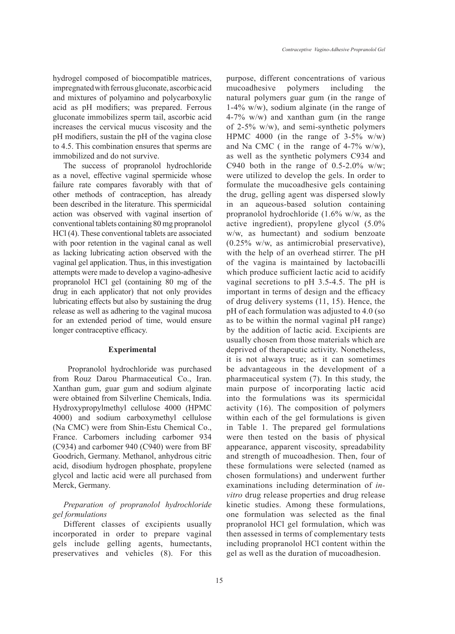hydrogel composed of biocompatible matrices, impregnated with ferrous gluconate, ascorbic acid and mixtures of polyamino and polycarboxylic acid as pH modifiers; was prepared. Ferrous gluconate immobilizes sperm tail, ascorbic acid increases the cervical mucus viscosity and the pH modifiers, sustain the pH of the vagina close to 4.5. This combination ensures that sperms are immobilized and do not survive.

The success of propranolol hydrochloride as a novel, effective vaginal spermicide whose failure rate compares favorably with that of other methods of contraception, has already been described in the literature. This spermicidal action was observed with vaginal insertion of conventional tablets containing 80 mg propranolol HCl (4). These conventional tablets are associated with poor retention in the vaginal canal as well as lacking lubricating action observed with the vaginal gel application. Thus, in this investigation attempts were made to develop a vagino-adhesive propranolol HCl gel (containing 80 mg of the drug in each applicator) that not only provides lubricating effects but also by sustaining the drug release as well as adhering to the vaginal mucosa for an extended period of time, would ensure longer contraceptive efficacy.

## **Experimental**

 Propranolol hydrochloride was purchased from Rouz Darou Pharmaceutical Co., Iran. Xanthan gum, guar gum and sodium alginate were obtained from Silverline Chemicals, India. Hydroxypropylmethyl cellulose 4000 (HPMC 4000) and sodium carboxymethyl cellulose (Na CMC) were from Shin-Estu Chemical Co., France. Carbomers including carbomer 934 (C934) and carbomer 940 (C940) were from BF Goodrich, Germany. Methanol, anhydrous citric acid, disodium hydrogen phosphate, propylene glycol and lactic acid were all purchased from Merck, Germany.

# *Preparation of propranolol hydrochloride gel formulations*

Different classes of excipients usually incorporated in order to prepare vaginal gels include gelling agents, humectants, preservatives and vehicles (8). For this purpose, different concentrations of various mucoadhesive polymers including the natural polymers guar gum (in the range of 1-4% w/w), sodium alginate (in the range of 4-7% w/w) and xanthan gum (in the range of 2-5% w/w), and semi-synthetic polymers HPMC 4000 (in the range of  $3-5\%$  w/w) and Na CMC (in the range of 4-7% w/w), as well as the synthetic polymers C934 and C940 both in the range of  $0.5\n-2.0\%$  w/w; were utilized to develop the gels. In order to formulate the mucoadhesive gels containing the drug, gelling agent was dispersed slowly in an aqueous-based solution containing propranolol hydrochloride (1.6% w/w, as the active ingredient), propylene glycol (5.0% w/w, as humectant) and sodium benzoate (0.25% w/w, as antimicrobial preservative), with the help of an overhead stirrer. The pH of the vagina is maintained by lactobacilli which produce sufficient lactic acid to acidify vaginal secretions to pH 3.5-4.5. The pH is important in terms of design and the efficacy of drug delivery systems (11, 15). Hence, the pH of each formulation was adjusted to 4.0 (so as to be within the normal vaginal pH range) by the addition of lactic acid. Excipients are usually chosen from those materials which are deprived of therapeutic activity. Nonetheless, it is not always true; as it can sometimes be advantageous in the development of a pharmaceutical system (7). In this study, the main purpose of incorporating lactic acid into the formulations was its spermicidal activity (16). The composition of polymers within each of the gel formulations is given in Table 1. The prepared gel formulations were then tested on the basis of physical appearance, apparent viscosity, spreadability and strength of mucoadhesion. Then, four of these formulations were selected (named as chosen formulations) and underwent further examinations including determination of *invitro* drug release properties and drug release kinetic studies. Among these formulations, one formulation was selected as the final propranolol HCl gel formulation, which was then assessed in terms of complementary tests including propranolol HCl content within the gel as well as the duration of mucoadhesion.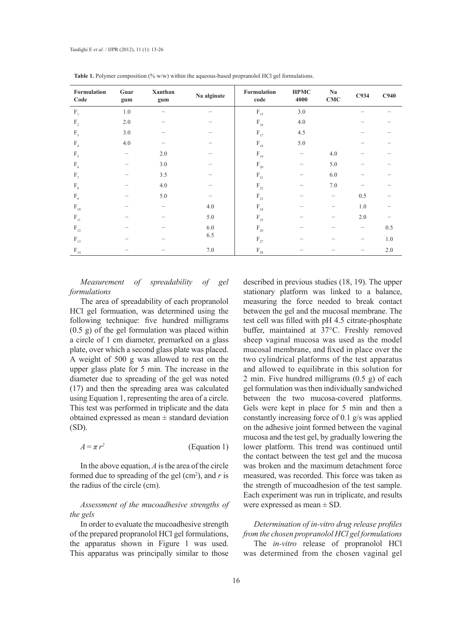| Formulation<br>Code                    | Guar<br>gum | Xanthan<br>gum | Na alginate | Formulation<br>code                    | <b>HPMC</b><br>4000 | Na<br><b>CMC</b>  | C <sub>934</sub>  | C940 |
|----------------------------------------|-------------|----------------|-------------|----------------------------------------|---------------------|-------------------|-------------------|------|
| $F_1$                                  | $1.0\,$     |                |             | $\mathbf{F}_{\scriptscriptstyle{15}}$  | 3.0                 |                   |                   |      |
| $F_{2}$                                | 2.0         |                |             | $\rm F_{16}$                           | 4.0                 |                   |                   |      |
| $F_3$                                  | 3.0         |                |             | $\rm F_{17}$                           | 4.5                 |                   |                   |      |
| F <sub>4</sub>                         | 4.0         |                |             | $\rm F_{18}$                           | 5.0                 |                   |                   |      |
| $F_{5}$                                |             | 2.0            |             | $\mathbf{F}_{19}$                      |                     | 4.0               |                   |      |
| $F_6$                                  |             | 3.0            |             | $\mathcal{F}_{\mathbf{20}}$            |                     | 5.0               |                   |      |
| $F_{7}$                                |             | 3.5            |             | $\mathbf{F}_{\scriptscriptstyle{21}}$  |                     | 6.0               |                   |      |
| $F_{8}$                                |             | $4.0\,$        |             | $\mathbf{F}_{\scriptscriptstyle{22}}$  |                     | 7.0               |                   |      |
| $F_{9}$                                |             | 5.0            |             | $\mathrm{F}_{23}$                      |                     | $\qquad \qquad -$ | 0.5               |      |
| $\mathcal{F}_{\scriptscriptstyle{10}}$ |             | -              | $4.0\,$     | $\rm F_{24}$                           |                     | -                 | 1.0               |      |
| $\mathbf{F}_{11}$                      |             |                | $5.0\,$     | $\mathcal{F}_{\scriptscriptstyle{25}}$ |                     | -                 | 2.0               |      |
| $\mathbf{F}_{\scriptscriptstyle{12}}$  |             |                | 6.0         | $\mathrm{F}_{\mathrm{26}}$             |                     |                   | $\qquad \qquad -$ | 0.5  |
| $F_{13}$                               |             |                | 6.5         | $\mathrm{F}_{\scriptscriptstyle 27}$   |                     |                   | -                 | 1.0  |
| $\rm F_{_{14}}$                        |             |                | 7.0         | $\mathcal{F}_{_{28}}$                  |                     |                   |                   | 2.0  |

Table 1. Polymer composition (% w/w) within the aqueous-based propranolol HCl gel formulations.

*Measurement of spreadability of gel formulations*

The area of spreadability of each propranolol HCl gel formuation, was determined using the following technique: five hundred milligrams (0.5 g) of the gel formulation was placed within a circle of 1 cm diameter, premarked on a glass plate, over which a second glass plate was placed. A weight of 500 g was allowed to rest on the upper glass plate for 5 min. The increase in the diameter due to spreading of the gel was noted (17) and then the spreading area was calculated using Equation 1, representing the area of a circle. This test was performed in triplicate and the data obtained expressed as mean ± standard deviation (SD).

 $A = \pi r^2$ (Equation 1)

In the above equation, *A* is the area of the circle formed due to spreading of the gel  $(cm<sup>2</sup>)$ , and  $r$  is the radius of the circle (cm).

*Assessment of the mucoadhesive strengths of the gels*

In order to evaluate the mucoadhesive strength of the prepared propranolol HCl gel formulations, the apparatus shown in Figure 1 was used. This apparatus was principally similar to those

described in previous studies (18, 19). The upper stationary platform was linked to a balance, measuring the force needed to break contact between the gel and the mucosal membrane. The test cell was filled with pH 4.5 citrate-phosphate buffer, maintained at 37°C. Freshly removed sheep vaginal mucosa was used as the model mucosal membrane, and fixed in place over the two cylindrical platforms of the test apparatus and allowed to equilibrate in this solution for 2 min. Five hundred milligrams (0.5 g) of each gel formulation was then individually sandwiched between the two mucosa-covered platforms. Gels were kept in place for 5 min and then a constantly increasing force of 0.1 g/s was applied on the adhesive joint formed between the vaginal mucosa and the test gel, by gradually lowering the lower platform. This trend was continued until the contact between the test gel and the mucosa was broken and the maximum detachment force measured, was recorded. This force was taken as the strength of mucoadhesion of the test sample. Each experiment was run in triplicate, and results were expressed as mean  $\pm$  SD.

# *Determination of in-vitro drug release profiles from the chosen propranolol HCl gel formulations*

The *in-vitro* release of propranolol HCl was determined from the chosen vaginal gel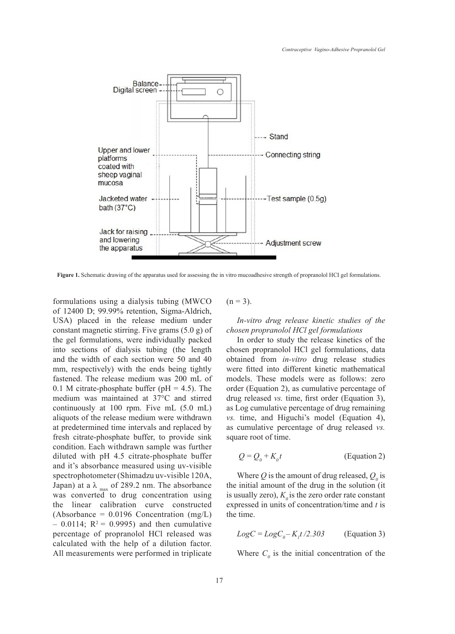

**Figure 1.** Schematic drawing of the apparatus used for assessing the in vitro mucoadhesive strength of propranolol HCI gel formulations.

formulations using a dialysis tubing (MWCO of 12400 D; 99.99% retention, Sigma-Aldrich, USA) placed in the release medium under constant magnetic stirring. Five grams (5.0 g) of the gel formulations, were individually packed into sections of dialysis tubing (the length and the width of each section were 50 and 40 mm, respectively) with the ends being tightly fastened. The release medium was 200 mL of 0.1 M citrate-phosphate buffer ( $pH = 4.5$ ). The medium was maintained at 37°C and stirred continuously at 100 rpm. Five mL (5.0 mL) aliquots of the release medium were withdrawn at predetermined time intervals and replaced by fresh citrate-phosphate buffer, to provide sink condition. Each withdrawn sample was further diluted with pH 4.5 citrate-phosphate buffer and it's absorbance measured using uv-visible spectrophotometer (Shimadzu uv-visible 120A, Japan) at a  $\lambda_{\text{max}}$  of 289.2 nm. The absorbance was converted to drug concentration using the linear calibration curve constructed (Absorbance =  $0.0196$  Concentration (mg/L)  $-$  0.0114; R<sup>2</sup> = 0.9995) and then cumulative percentage of propranolol HCl released was calculated with the help of a dilution factor. All measurements were performed in triplicate

 $(n = 3)$ .

*In-vitro drug release kinetic studies of the chosen propranolol HCl gel formulations*

In order to study the release kinetics of the chosen propranolol HCl gel formulations, data obtained from *in-vitro* drug release studies were fitted into different kinetic mathematical models. These models were as follows: zero order (Equation 2), as cumulative percentage of drug released *vs.* time, first order (Equation 3), as Log cumulative percentage of drug remaining *vs.* time, and Higuchi's model (Equation 4), as cumulative percentage of drug released *vs.* square root of time.

$$
Q = Q_0 + K_0 t \tag{Equation 2}
$$

Where  $Q$  is the amount of drug released,  $Q_0$  is the initial amount of the drug in the solution (it is usually zero),  $K_0$  is the zero order rate constant expressed in units of concentration/time and *t* is the time.

$$
LogC = LogC_0 - K_1t/2.303
$$
 (Equation 3)

Where  $C_0$  is the initial concentration of the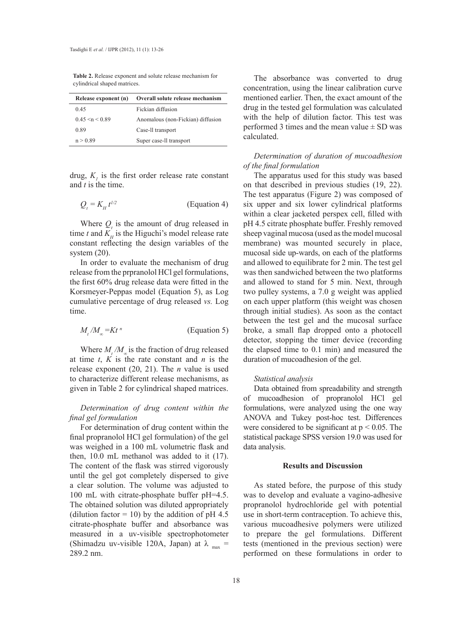**Table 2.** Release exponent and solute release mechanism for cylindrical shaped matrices.

| Release exponent (n)  | Overall solute release mechanism  |  |  |  |
|-----------------------|-----------------------------------|--|--|--|
| 0.45                  | Fickian diffusion                 |  |  |  |
| $0.45 \le n \le 0.89$ | Anomalous (non-Fickian) diffusion |  |  |  |
| 0.89                  | Case-Il transport                 |  |  |  |
| n > 0.89              | Super case-Il transport           |  |  |  |

drug,  $K_i$  is the first order release rate constant and *t* is the time.

$$
Q_t = K_H t^{1/2}
$$
 (Equation 4)

Where  $Q_t$  is the amount of drug released in time *t* and  $K<sub>H</sub>$  is the Higuchi's model release rate constant reflecting the design variables of the system (20).

In order to evaluate the mechanism of drug release from the prpranolol HCl gel formulations, the first 60% drug release data were fitted in the Korsmeyer-Peppas model (Equation 5), as Log cumulative percentage of drug released *vs.* Log time.

$$
M_{t}/M_{\infty} = Kt^{n}
$$
 (Equation 5)

Where  $M_t / M_\infty$  is the fraction of drug released at time  $t$ ,  $K$  is the rate constant and  $n$  is the release exponent (20, 21). The *n* value is used to characterize different release mechanisms, as given in Table 2 for cylindrical shaped matrices.

# *Determination of drug content within the final gel formulation*

For determination of drug content within the final propranolol HCl gel formulation) of the gel was weighed in a 100 mL volumetric flask and then, 10.0 mL methanol was added to it (17). The content of the flask was stirred vigorously until the gel got completely dispersed to give a clear solution. The volume was adjusted to 100 mL with citrate-phosphate buffer pH=4.5. The obtained solution was diluted appropriately (dilution factor = 10) by the addition of pH 4.5 citrate-phosphate buffer and absorbance was measured in a uv-visible spectrophotometer (Shimadzu uv-visible 120A, Japan) at  $\lambda_{\text{max}} =$ 289.2 nm.

The absorbance was converted to drug concentration, using the linear calibration curve mentioned earlier. Then, the exact amount of the drug in the tested gel formulation was calculated with the help of dilution factor. This test was performed 3 times and the mean value  $\pm$  SD was calculated.

#### *Determination of duration of mucoadhesion of the final formulation*

The apparatus used for this study was based on that described in previous studies (19, 22). The test apparatus (Figure 2) was composed of six upper and six lower cylindrical platforms within a clear jacketed perspex cell, filled with pH 4.5 citrate phosphate buffer. Freshly removed sheep vaginal mucosa (used as the model mucosal membrane) was mounted securely in place, mucosal side up-wards, on each of the platforms and allowed to equilibrate for 2 min. The test gel was then sandwiched between the two platforms and allowed to stand for 5 min. Next, through two pulley systems, a 7.0 g weight was applied on each upper platform (this weight was chosen through initial studies). As soon as the contact between the test gel and the mucosal surface broke, a small flap dropped onto a photocell detector, stopping the timer device (recording the elapsed time to 0.1 min) and measured the duration of mucoadhesion of the gel.

#### *Statistical analysis*

Data obtained from spreadability and strength of mucoadhesion of propranolol HCl gel formulations, were analyzed using the one way ANOVA and Tukey post-hoc test. Differences were considered to be significant at  $p < 0.05$ . The statistical package SPSS version 19.0 was used for data analysis.

#### **Results and Discussion**

As stated before, the purpose of this study was to develop and evaluate a vagino-adhesive propranolol hydrochloride gel with potential use in short-term contraception. To achieve this, various mucoadhesive polymers were utilized to prepare the gel formulations. Different tests (mentioned in the previous section) were performed on these formulations in order to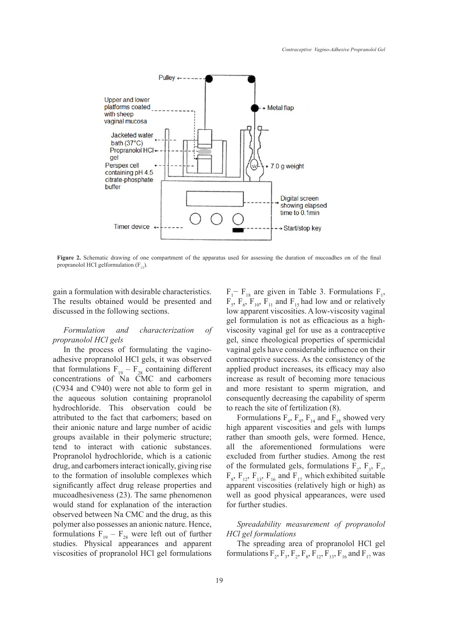

**Figure 2.** Schematic drawing of one compartment of the apparatus used for assessing the duration of mucoadhes on of the final propranolol HCI gelformulation  $(F_{13})$ .

gain a formulation with desirable characteristics. The results obtained would be presented and discussed in the following sections.

## *Formulation and characterization of propranolol HCl gels*

In the process of formulating the vaginoadhesive propranolol HCl gels, it was observed that formulations  $F_{19} - F_{28}$  containing different concentrations of Na CMC and carbomers (C934 and C940) were not able to form gel in the aqueous solution containing propranolol hydrochloride. This observation could be attributed to the fact that carbomers; based on their anionic nature and large number of acidic groups available in their polymeric structure; tend to interact with cationic substances. Propranolol hydrochloride, which is a cationic drug, and carbomers interact ionically, giving rise to the formation of insoluble complexes which significantly affect drug release properties and mucoadhesiveness (23). The same phenomenon would stand for explanation of the interaction observed between Na CMC and the drug, as this polymer also possesses an anionic nature. Hence, formulations  $F_{19} - F_{28}$  were left out of further studies. Physical appearances and apparent viscosities of propranolol HCl gel formulations

 $F_1$ –  $F_{18}$  are given in Table 3. Formulations  $F_1$ ,  $F_5$ ,  $F_6$ ,  $F_{10}$ ,  $F_{11}$  and  $F_{15}$  had low and or relatively low apparent viscosities. A low-viscosity vaginal gel formulation is not as efficacious as a highviscosity vaginal gel for use as a contraceptive gel, since rheological properties of spermicidal vaginal gels have considerable influence on their contraceptive success. As the consistency of the applied product increases, its efficacy may also increase as result of becoming more tenacious and more resistant to sperm migration, and consequently decreasing the capability of sperm to reach the site of fertilization (8).

Formulations  $F_4$ ,  $F_9$ ,  $F_{14}$  and  $F_{18}$  showed very high apparent viscosities and gels with lumps rather than smooth gels, were formed. Hence, all the aforementioned formulations were excluded from further studies. Among the rest of the formulated gels, formulations  $F_2$ ,  $F_3$ ,  $F_7$ ,  $F_8$ ,  $F_{12}$ ,  $F_{13}$ ,  $F_{16}$  and  $F_{17}$  which exhibited suitable apparent viscosities (relatively high or high) as well as good physical appearances, were used for further studies.

# *Spreadability measurement of propranolol HCl gel formulations*

The spreading area of propranolol HCl gel formulations  $F_2, F_3, F_2, F_8, F_{12}, F_{13}, F_{16}$  and  $F_{17}$  was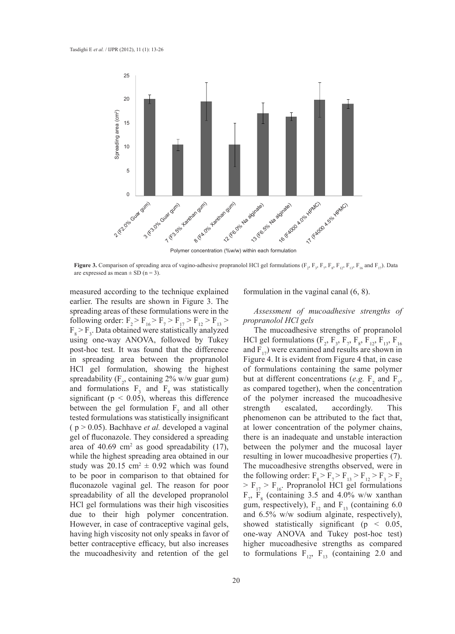

**Figure 3.** Comparison of spreading area of vagino-adhesive propranolol HCl gel formulations ( $F_2$ ,  $F_3$ ,  $F_7$ ,  $F_8$ ,  $F_{12}$ ,  $F_{13}$ ,  $F_{16}$  and  $F_{17}$ ). Data

measured according to the technique explained earlier. The results are shown in Figure 3. The spreading areas of these formulations were in the following order:  $F_2 > F_{16} > F_7 > F_{17} > F_{12} > F_{13} >$  $F_8$  >  $F_3$ . Data obtained were statistically analyzed using one-way ANOVA, followed by Tukey post-hoc test. It was found that the difference in spreading area between the propranolol HCl gel formulation, showing the highest spreadability ( $F_2$ , containing 2% w/w guar gum) and formulations  $F_3$  and  $F_8$  was statistically significant ( $p < 0.05$ ), whereas this difference between the gel formulation  $F_2$  and all other tested formulations was statistically insignificant  $(p > 0.05)$ . Bachhave *et al.* developed a vaginal gel of fluconazole. They considered a spreading area of 40.69 cm<sup>2</sup> as good spreadability  $(17)$ , while the highest spreading area obtained in our study was  $20.15 \text{ cm}^2 \pm 0.92$  which was found to be poor in comparison to that obtained for fluconazole vaginal gel. The reason for poor spreadability of all the developed propranolol HCl gel formulations was their high viscosities due to their high polymer concentration. However, in case of contraceptive vaginal gels, having high viscosity not only speaks in favor of better contraceptive efficacy, but also increases the mucoadhesivity and retention of the gel

20

formulation in the vaginal canal (6, 8).

# *Assessment of mucoadhesive strengths of propranolol HCl gels*

The mucoadhesive strengths of propranolol HCl gel formulations ( $F_2$ ,  $F_3$ ,  $F_7$ ,  $F_8$ ,  $F_{12}$ ,  $F_{13}$ ,  $F_{16}$ and  $F_{17}$ ) were examined and results are shown in Figure 4. It is evident from Figure 4 that, in case of formulations containing the same polymer but at different concentrations (*e.g.*  $F_2$  and  $F_3$ , as compared together), when the concentration of the polymer increased the mucoadhesive strength escalated, accordingly. This phenomenon can be attributed to the fact that, at lower concentration of the polymer chains, there is an inadequate and unstable interaction between the polymer and the mucosal layer resulting in lower mucoadhesive properties (7). The mucoadhesive strengths observed, were in the following order:  $F_8 > F_7 > F_{13} > F_1 > F_3 > F_2$  $>$  F<sub>17</sub>  $>$  F<sub>16</sub>. Propranolol HCl gel formulations  $F_7$ ,  $F_8$  (containing 3.5 and 4.0% w/w xanthan gum, respectively),  $F_{12}$  and  $F_{13}$  (containing 6.0 and 6.5% w/w sodium alginate, respectively), showed statistically significant ( $p < 0.05$ , one-way ANOVA and Tukey post-hoc test) higher mucoadhesive strengths as compared to formulations  $F_{12}$ ,  $F_{13}$  (containing 2.0 and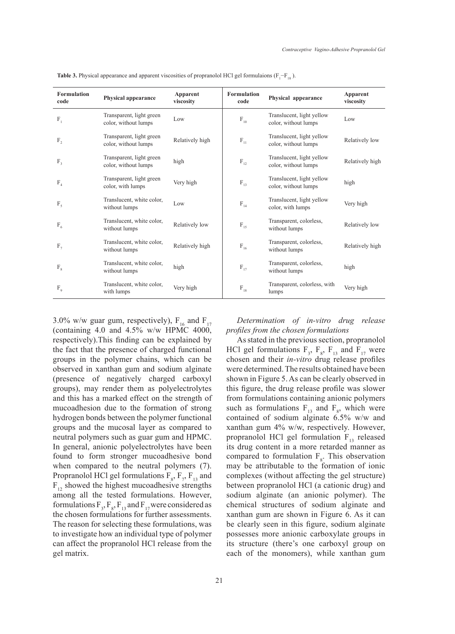| <b>Formulation</b><br>code | <b>Physical appearance</b>                       | Apparent<br>viscosity | <b>Formulation</b><br>code            | Physical appearance                               | Apparent<br>viscosity |
|----------------------------|--------------------------------------------------|-----------------------|---------------------------------------|---------------------------------------------------|-----------------------|
| $F_1$                      | Transparent, light green<br>color, without lumps | Low                   | $\rm F_{10}$                          | Translucent, light yellow<br>color, without lumps | Low                   |
| $F_{2}$                    | Transparent, light green<br>color, without lumps | Relatively high       | $\mathbf{F}_{\scriptscriptstyle{11}}$ | Translucent, light yellow<br>color, without lumps | Relatively low        |
| $F_3$                      | Transparent, light green<br>color, without lumps | high                  | $\rm F_{12}$                          | Translucent, light yellow<br>color, without lumps | Relatively high       |
| $\rm F_4$                  | Transparent, light green<br>color, with lumps    | Very high             | $F_{13}$                              | Translucent, light yellow<br>color, without lumps | high                  |
| F <sub>5</sub>             | Translucent, white color,<br>without lumps       | Low                   | $\rm F_{14}$                          | Translucent, light yellow<br>color, with lumps    | Very high             |
| $F_6$                      | Translucent, white color,<br>without lumps       | Relatively low        | $F_{15}$                              | Transparent, colorless,<br>without lumps          | Relatively low        |
| $F_{7}$                    | Translucent, white color,<br>without lumps       | Relatively high       | $F_{16}$                              | Transparent, colorless,<br>without lumps          | Relatively high       |
| $F_{8}$                    | Translucent, white color,<br>without lumps       | high                  | $F_{17}$                              | Transparent, colorless,<br>without lumps          | high                  |
| $F_{\rm o}$                | Translucent, white color,<br>with lumps          | Very high             | $\rm F_{18}$                          | Transparent, colorless, with<br>lumps             | Very high             |

**Table 3.** Physical appearance and apparent viscosities of propranolol HCl gel formulaions  $(F_1 - F_{18})$ .

3.0% w/w guar gum, respectively),  $F_{16}$  and  $F_{17}$ (containing 4.0 and 4.5% w/w HPMC 4000, respectively).This finding can be explained by the fact that the presence of charged functional groups in the polymer chains, which can be observed in xanthan gum and sodium alginate (presence of negatively charged carboxyl groups), may render them as polyelectrolytes and this has a marked effect on the strength of mucoadhesion due to the formation of strong hydrogen bonds between the polymer functional groups and the mucosal layer as compared to neutral polymers such as guar gum and HPMC. In general, anionic polyelectrolytes have been found to form stronger mucoadhesive bond when compared to the neutral polymers (7). Propranolol HCl gel formulations  $F_s$ ,  $F_7$ ,  $F_{13}$  and  $F_{12}$  showed the highest mucoadhesive strengths among all the tested formulations. However, formulations  $F_3$ ,  $F_8$ ,  $F_{13}$  and  $F_{17}$  were considered as the chosen formulations for further assessments. The reason for selecting these formulations, was to investigate how an individual type of polymer can affect the propranolol HCl release from the gel matrix.

*Determination of in-vitro drug release profiles from the chosen formulations* 

As stated in the previous section, propranolol HCl gel formulations  $F_3$ ,  $F_8$ ,  $F_{13}$  and  $F_{17}$  were chosen and their *in-vitro* drug release profiles were determined. The results obtained have been shown in Figure 5. As can be clearly observed in this figure, the drug release profile was slower from formulations containing anionic polymers such as formulations  $F_{13}$  and  $F_8$ , which were contained of sodium alginate 6.5% w/w and xanthan gum 4% w/w, respectively. However, propranolol HCl gel formulation  $F_{13}$  released its drug content in a more retarded manner as compared to formulation  $F_s$ . This observation may be attributable to the formation of ionic complexes (without affecting the gel structure) between propranolol HCl (a cationic drug) and sodium alginate (an anionic polymer). The chemical structures of sodium alginate and xanthan gum are shown in Figure 6. As it can be clearly seen in this figure, sodium alginate possesses more anionic carboxylate groups in its structure (there's one carboxyl group on each of the monomers), while xanthan gum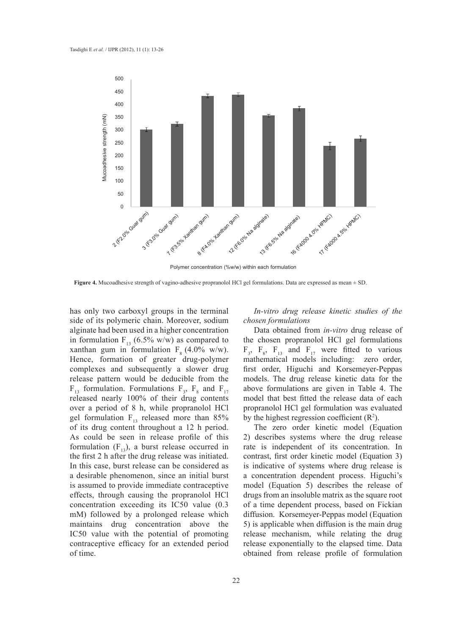

Polymer concentration (%w/w) within each formulation

has only two carboxyl groups in the terminal side of its polymeric chain. Moreover, sodium alginate had been used in a higher concentration in formulation  $F_{13}$  (6.5% w/w) as compared to xanthan gum in formulation  $F_8$  (4.0% w/w). Hence, formation of greater drug-polymer complexes and subsequently a slower drug release pattern would be deducible from the  $F_{13}$  formulation. Formulations  $F_3$ ,  $F_8$  and  $F_{17}$ released nearly 100% of their drug contents over a period of 8 h, while propranolol HCl gel formulation  $F_{13}$  released more than 85% of its drug content throughout a 12 h period. As could be seen in release profile of this formulation  $(F_{13})$ , a burst release occurred in the first 2 h after the drug release was initiated. In this case, burst release can be considered as a desirable phenomenon, since an initial burst is assumed to provide immediate contraceptive effects, through causing the propranolol HCl concentration exceeding its IC50 value (0.3 mM) followed by a prolonged release which maintains drug concentration above the IC50 value with the potential of promoting contraceptive efficacy for an extended period of time.

*In-vitro drug release kinetic studies of the chosen formulations* 

Data obtained from *in-vitro* drug release of the chosen propranolol HCl gel formulations  $F_3$ ,  $F_8$ ,  $F_{13}$  and  $F_{17}$  were fitted to various mathematical models including: zero order, first order, Higuchi and Korsemeyer-Peppas models. The drug release kinetic data for the above formulations are given in Table 4. The model that best fitted the release data of each propranolol HCl gel formulation was evaluated by the highest regression coefficient  $(R^2)$ .

The zero order kinetic model (Equation 2) describes systems where the drug release rate is independent of its concentration. In contrast, first order kinetic model (Equation 3) is indicative of systems where drug release is a concentration dependent process. Higuchi's model (Equation 5) describes the release of drugs from an insoluble matrix as the square root of a time dependent process, based on Fickian diffusion. Korsemeyer-Peppas model (Equation 5) is applicable when diffusion is the main drug release mechanism, while relating the drug release exponentially to the elapsed time. Data obtained from release profile of formulation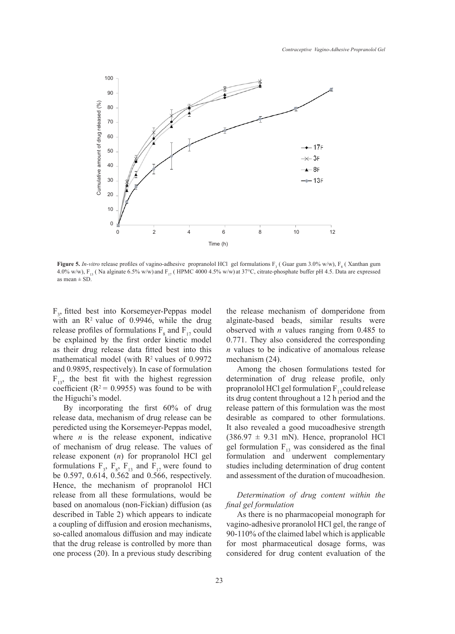

**Figure 5.** *In-vitro* release profiles of vagino-adhesive propranolol HCl gel formulations  $F_3$  (Guar gum 3.0% w/w),  $F_8$  (Xanthan gum 4.0% w/w),  $F_{13}$  (Na alginate 6.5% w/w) and  $F_{17}$  (HPMC 4000 4.5% w/w) at 37°C, citrate-phosphate buffer pH 4.5. Data are expressed as mean  $\pm$  SD.

 $F_3$ , fitted best into Korsemeyer-Peppas model with an  $\mathbb{R}^2$  value of 0.9946, while the drug release profiles of formulations  $F_8$  and  $F_{17}$  could be explained by the first order kinetic model as their drug release data fitted best into this mathematical model (with  $R<sup>2</sup>$  values of 0.9972 and 0.9895, respectively). In case of formulation  $F_{13}$ , the best fit with the highest regression coefficient ( $R^2$  = 0.9955) was found to be with the Higuchi's model.

By incorporating the first 60% of drug release data, mechanism of drug release can be peredicted using the Korsemeyer-Peppas model, where  $n$  is the release exponent, indicative of mechanism of drug release. The values of release exponent (*n*) for propranolol HCl gel formulations  $F_3$ ,  $F_8$ ,  $F_{13}$  and  $F_{17}$  were found to be 0.597, 0.614, 0.562 and 0.566, respectively. Hence, the mechanism of propranolol HCl release from all these formulations, would be based on anomalous (non-Fickian) diffusion (as described in Table 2) which appears to indicate a coupling of diffusion and erosion mechanisms, so-called anomalous diffusion and may indicate that the drug release is controlled by more than one process (20). In a previous study describing

the release mechanism of domperidone from alginate-based beads, similar results were observed with *n* values ranging from 0.485 to 0.771. They also considered the corresponding *n* values to be indicative of anomalous release mechanism (24).

Among the chosen formulations tested for determination of drug release profile, only propranolol HCl gel formulation  $F_{13}$  could release its drug content throughout a 12 h period and the release pattern of this formulation was the most desirable as compared to other formulations. It also revealed a good mucoadhesive strength  $(386.97 \pm 9.31 \text{ mN})$ . Hence, propranolol HCl gel formulation  $F_{13}$  was considered as the final formulation and underwent complementary studies including determination of drug content and assessment of the duration of mucoadhesion.

# *Determination of drug content within the final gel formulation*

As there is no pharmacopeial monograph for vagino-adhesive proranolol HCl gel, the range of 90-110% of the claimed label which is applicable for most pharmaceutical dosage forms, was considered for drug content evaluation of the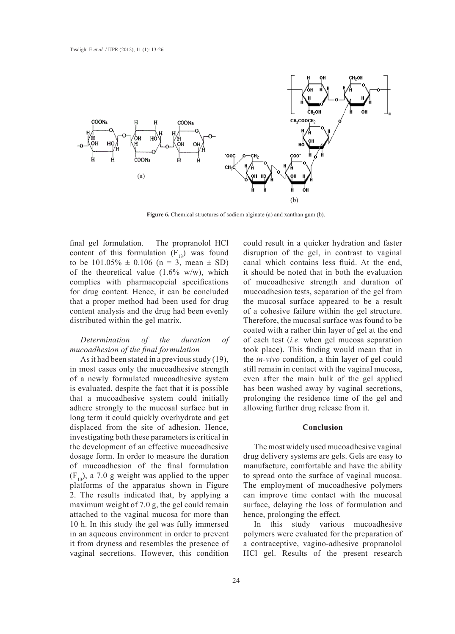

**Figure 6.** Chemical structures of sodiom alginate (a) and xanthan gum (b).

final gel formulation. The propranolol HCl content of this formulation  $(F_{13})$  was found to be  $101.05\% \pm 0.106$  (n = 3, mean  $\pm$  SD) of the theoretical value  $(1.6\% \text{ w/w})$ , which complies with pharmacopeial specifications for drug content. Hence, it can be concluded that a proper method had been used for drug content analysis and the drug had been evenly distributed within the gel matrix.

#### *Determination of the duration of mucoadhesion of the final formulation*

As it had been stated in a previous study (19), in most cases only the mucoadhesive strength of a newly formulated mucoadhesive system is evaluated, despite the fact that it is possible that a mucoadhesive system could initially adhere strongly to the mucosal surface but in long term it could quickly overhydrate and get displaced from the site of adhesion. Hence, investigating both these parameters is critical in the development of an effective mucoadhesive dosage form. In order to measure the duration of mucoadhesion of the final formulation  $(F_{13})$ , a 7.0 g weight was applied to the upper platforms of the apparatus shown in Figure 2. The results indicated that, by applying a maximum weight of 7.0 g, the gel could remain attached to the vaginal mucosa for more than 10 h. In this study the gel was fully immersed in an aqueous environment in order to prevent it from dryness and resembles the presence of vaginal secretions. However, this condition

could result in a quicker hydration and faster disruption of the gel, in contrast to vaginal canal which contains less fluid. At the end, it should be noted that in both the evaluation of mucoadhesive strength and duration of mucoadhesion tests, separation of the gel from the mucosal surface appeared to be a result of a cohesive failure within the gel structure. Therefore, the mucosal surface was found to be coated with a rather thin layer of gel at the end of each test (*i.e.* when gel mucosa separation took place). This finding would mean that in the *in-vivo* condition, a thin layer of gel could still remain in contact with the vaginal mucosa, even after the main bulk of the gel applied has been washed away by vaginal secretions, prolonging the residence time of the gel and allowing further drug release from it.

#### **Conclusion**

The most widely used mucoadhesive vaginal drug delivery systems are gels. Gels are easy to manufacture, comfortable and have the ability to spread onto the surface of vaginal mucosa. The employment of mucoadhesive polymers can improve time contact with the mucosal surface, delaying the loss of formulation and hence, prolonging the effect.

In this study various mucoadhesive polymers were evaluated for the preparation of a contraceptive, vagino-adhesive propranolol HCl gel. Results of the present research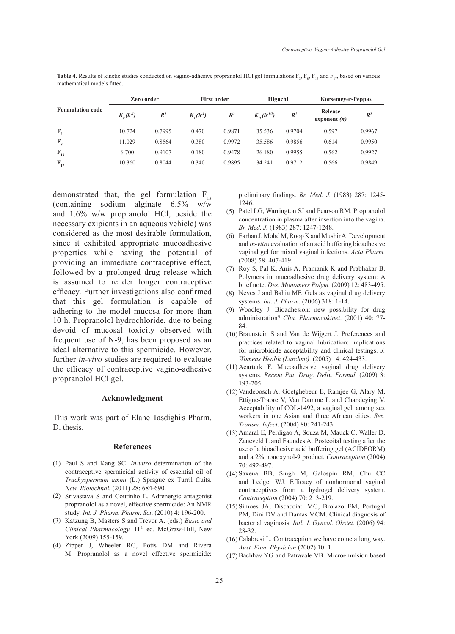| <b>Formulation code</b> | Zero order    |                | <b>First order</b> |        | Higuchi                        |                | <b>Korsemeyer-Peppas</b>  |                |
|-------------------------|---------------|----------------|--------------------|--------|--------------------------------|----------------|---------------------------|----------------|
|                         | $K_a(h^{-1})$ | $\mathbb{R}^2$ | $K_{n}(h^{-1})$    | $R^2$  | $K_{\mu}$ (h <sup>-1/2</sup> ) | $\mathbb{R}^2$ | Release<br>exponent $(n)$ | $\mathbb{R}^2$ |
| F,                      | 10.724        | 0.7995         | 0.470              | 0.9871 | 35.536                         | 0.9704         | 0.597                     | 0.9967         |
| $F_{8}$                 | 11.029        | 0.8564         | 0.380              | 0.9972 | 35.586                         | 0.9856         | 0.614                     | 0.9950         |
| $F_{13}$                | 6.700         | 0.9107         | 0.180              | 0.9478 | 26.180                         | 0.9955         | 0.562                     | 0.9927         |
| $\mathbf{F}_{17}$       | 10.360        | 0.8044         | 0.340              | 0.9895 | 34.241                         | 0.9712         | 0.566                     | 0.9849         |

**Table 4.** Results of kinetic studies conducted on vagino-adhesive propranolol HCl gel formulations  $F_3$ ,  $F_8$ ,  $F_{13}$  and  $F_{17}$ , based on various mathematical models fitted.

demonstrated that, the gel formulation  $F_{13}$ (containing sodium alginate 6.5% w/w and 1.6% w/w propranolol HCl, beside the necessary exipients in an aqueous vehicle) was considered as the most desirable formulation, since it exhibited appropriate mucoadhesive properties while having the potential of providing an immediate contraceptive effect, followed by a prolonged drug release which is assumed to render longer contraceptive efficacy. Further investigations also confirmed that this gel formulation is capable of adhering to the model mucosa for more than 10 h. Propranolol hydrochloride, due to being devoid of mucosal toxicity observed with frequent use of N-9, has been proposed as an ideal alternative to this spermicide. However, further *in-vivo* studies are required to evaluate the efficacy of contraceptive vagino-adhesive propranolol HCl gel.

#### **Acknowledgment**

This work was part of Elahe Tasdighis Pharm. D. thesis.

#### **References**

- (1) Paul S and Kang SC. *In-vitro* determination of the contraceptive spermicidal activity of essential oil of *Trachyspermum ammi* (L.) Sprague ex Turril fruits. *New. Biotechnol.* (2011) 28: 684-690.
- (2) Srivastava S and Coutinho E. Adrenergic antagonist propranolol as a novel, effective spermicide: An NMR study. *Int. J. Pharm. Pharm. Sci*. (2010) 4: 196-200.
- (3) Katzung B, Masters S and Trevor A. (eds.) *Basic and Clinical Pharmacology.* 11<sup>th</sup> ed. McGraw-Hill, New York (2009) 155-159.
- (4) Zipper J, Wheeler RG, Potis DM and Rivera M. Propranolol as a novel effective spermicide:

preliminary findings. *Br. Med. J.* (1983) 287: 1245- 1246.

- Patel LG, Warrington SJ and Pearson RM. Propranolol (5) concentration in plasma after insertion into the vagina. *Br. Med. J.* (1983) 287: 1247-1248.
- Farhan J, Mohd M, Roop K and Mushir A. Development (6) and *in-vitro* evaluation of an acid buffering bioadhesive vaginal gel for mixed vaginal infections. *Acta Pharm.* (2008) 58: 407-419.
- Roy S, Pal K, Anis A, Pramanik K and Prabhakar B. (7) Polymers in mucoadhesive drug delivery system: A brief note. *Des. Monomers Polym.* (2009) 12: 483-495.
- (8) Neves J and Bahia MF. Gels as vaginal drug delivery systems. *Int. J. Pharm.* (2006) 318: 1-14.
- Woodley J. Bioadhesion: new possibility for drug (9) administration? *Clin. Pharmacokinet*. (2001) 40: 77- 84.
- $(10)$  Braunstein S and Van de Wijgert J. Preferences and practices related to vaginal lubrication: implications for microbicide acceptability and clinical testings. *J. Womens Health (Larchmt).* (2005) 14: 424-433.
- (11) Acarturk F. Mucoadhesive vaginal drug delivery systems. *Recent Pat. Drug. Deliv. Formul.* (2009) 3: 193-205.
- (12) Vandebosch A, Goetghebeur E, Ramjee G, Alary M, Ettigne-Traore V, Van Damme L and Chandeying V. Acceptability of COL-1492, a vaginal gel, among sex workers in one Asian and three African cities. *Sex. Transm. Infect*. (2004) 80: 241-243.
- (13) Amaral E, Perdigao A, Souza M, Mauck C, Waller D, Zaneveld L and Faundes A. Postcoital testing after the use of a bioadhesive acid buffering gel (ACIDFORM) and a 2% nonoxynol-9 product. *Contraception* (2004) 70: 492-497.
- Saxena BB, Singh M, Galospin RM, Chu CC (14) and Ledger WJ. Efficacy of nonhormonal vaginal contraceptives from a hydrogel delivery system. *Contraception* (2004) 70: 213-219.
- (15) Simoes JA, Discacciati MG, Brolazo EM, Portugal PM, Dini DV and Dantas MCM. Clinical diagnosis of bacterial vaginosis. *Intl. J. Gyncol. Obstet.* (2006) 94: 28-32.
- $(16)$  Calabresi L. Contraception we have come a long way. *Aust. Fam. Physician* (2002) 10: 1.
- (17) Bachhav YG and Patravale VB. Microemulsion based